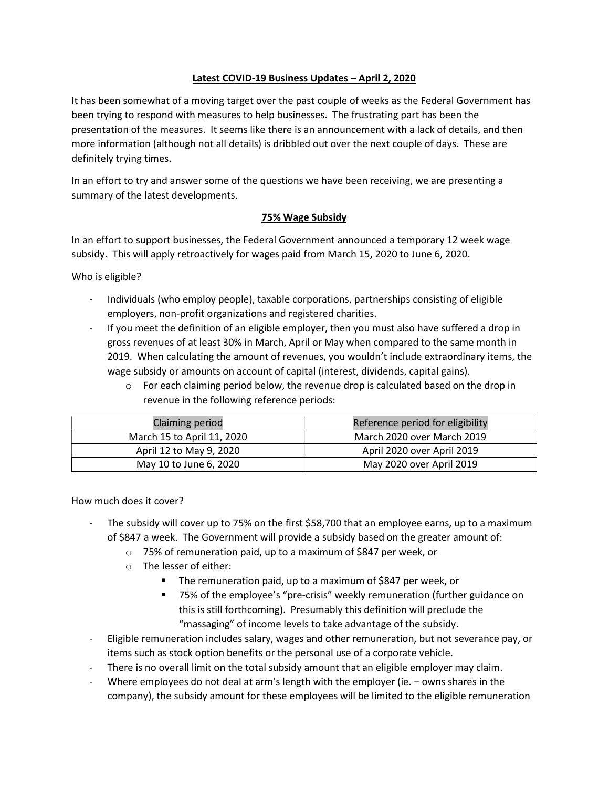# Latest COVID-19 Business Updates – April 2, 2020

It has been somewhat of a moving target over the past couple of weeks as the Federal Government has been trying to respond with measures to help businesses. The frustrating part has been the presentation of the measures. It seems like there is an announcement with a lack of details, and then more information (although not all details) is dribbled out over the next couple of days. These are definitely trying times.

In an effort to try and answer some of the questions we have been receiving, we are presenting a summary of the latest developments.

### 75% Wage Subsidy

In an effort to support businesses, the Federal Government announced a temporary 12 week wage subsidy. This will apply retroactively for wages paid from March 15, 2020 to June 6, 2020.

Who is eligible?

- Individuals (who employ people), taxable corporations, partnerships consisting of eligible employers, non-profit organizations and registered charities.
- If you meet the definition of an eligible employer, then you must also have suffered a drop in gross revenues of at least 30% in March, April or May when compared to the same month in 2019. When calculating the amount of revenues, you wouldn't include extraordinary items, the wage subsidy or amounts on account of capital (interest, dividends, capital gains).
	- $\circ$  For each claiming period below, the revenue drop is calculated based on the drop in revenue in the following reference periods:

| <b>Claiming period</b>     | Reference period for eligibility |
|----------------------------|----------------------------------|
| March 15 to April 11, 2020 | March 2020 over March 2019       |
| April 12 to May 9, 2020    | April 2020 over April 2019       |
| May 10 to June 6, 2020     | May 2020 over April 2019         |

How much does it cover?

- The subsidy will cover up to 75% on the first \$58,700 that an employee earns, up to a maximum of \$847 a week. The Government will provide a subsidy based on the greater amount of:
	- o 75% of remuneration paid, up to a maximum of \$847 per week, or
	- o The lesser of either:
		- The remuneration paid, up to a maximum of \$847 per week, or
		- 75% of the employee's "pre-crisis" weekly remuneration (further guidance on this is still forthcoming). Presumably this definition will preclude the "massaging" of income levels to take advantage of the subsidy.
- Eligible remuneration includes salary, wages and other remuneration, but not severance pay, or items such as stock option benefits or the personal use of a corporate vehicle.
- There is no overall limit on the total subsidy amount that an eligible employer may claim.
- Where employees do not deal at arm's length with the employer (ie. owns shares in the company), the subsidy amount for these employees will be limited to the eligible remuneration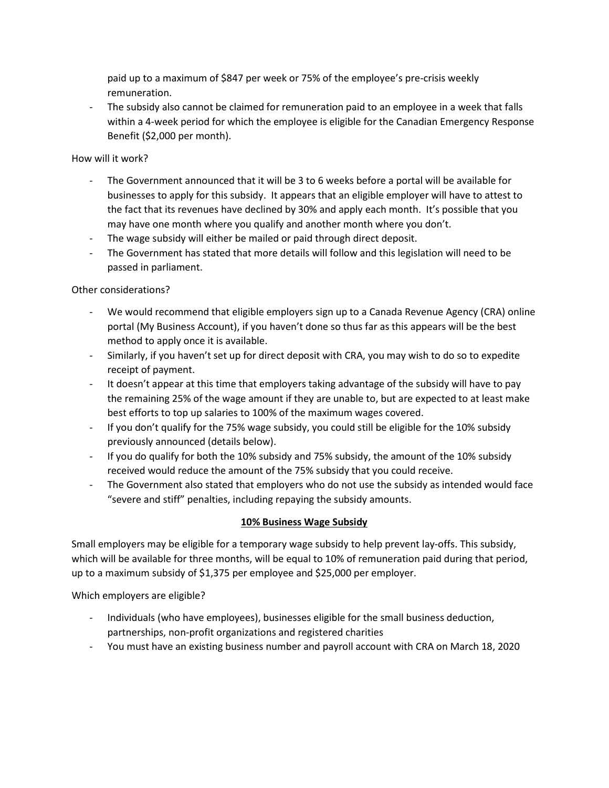paid up to a maximum of \$847 per week or 75% of the employee's pre-crisis weekly remuneration.

- The subsidy also cannot be claimed for remuneration paid to an employee in a week that falls within a 4-week period for which the employee is eligible for the Canadian Emergency Response Benefit (\$2,000 per month).

### How will it work?

- The Government announced that it will be 3 to 6 weeks before a portal will be available for businesses to apply for this subsidy. It appears that an eligible employer will have to attest to the fact that its revenues have declined by 30% and apply each month. It's possible that you may have one month where you qualify and another month where you don't.
- The wage subsidy will either be mailed or paid through direct deposit.
- The Government has stated that more details will follow and this legislation will need to be passed in parliament.

# Other considerations?

- We would recommend that eligible employers sign up to a Canada Revenue Agency (CRA) online portal (My Business Account), if you haven't done so thus far as this appears will be the best method to apply once it is available.
- Similarly, if you haven't set up for direct deposit with CRA, you may wish to do so to expedite receipt of payment.
- It doesn't appear at this time that employers taking advantage of the subsidy will have to pay the remaining 25% of the wage amount if they are unable to, but are expected to at least make best efforts to top up salaries to 100% of the maximum wages covered.
- If you don't qualify for the 75% wage subsidy, you could still be eligible for the 10% subsidy previously announced (details below).
- If you do qualify for both the 10% subsidy and 75% subsidy, the amount of the 10% subsidy received would reduce the amount of the 75% subsidy that you could receive.
- The Government also stated that employers who do not use the subsidy as intended would face "severe and stiff" penalties, including repaying the subsidy amounts.

# 10% Business Wage Subsidy

Small employers may be eligible for a temporary wage subsidy to help prevent lay-offs. This subsidy, which will be available for three months, will be equal to 10% of remuneration paid during that period, up to a maximum subsidy of \$1,375 per employee and \$25,000 per employer.

Which employers are eligible?

- Individuals (who have employees), businesses eligible for the small business deduction, partnerships, non-profit organizations and registered charities
- You must have an existing business number and payroll account with CRA on March 18, 2020